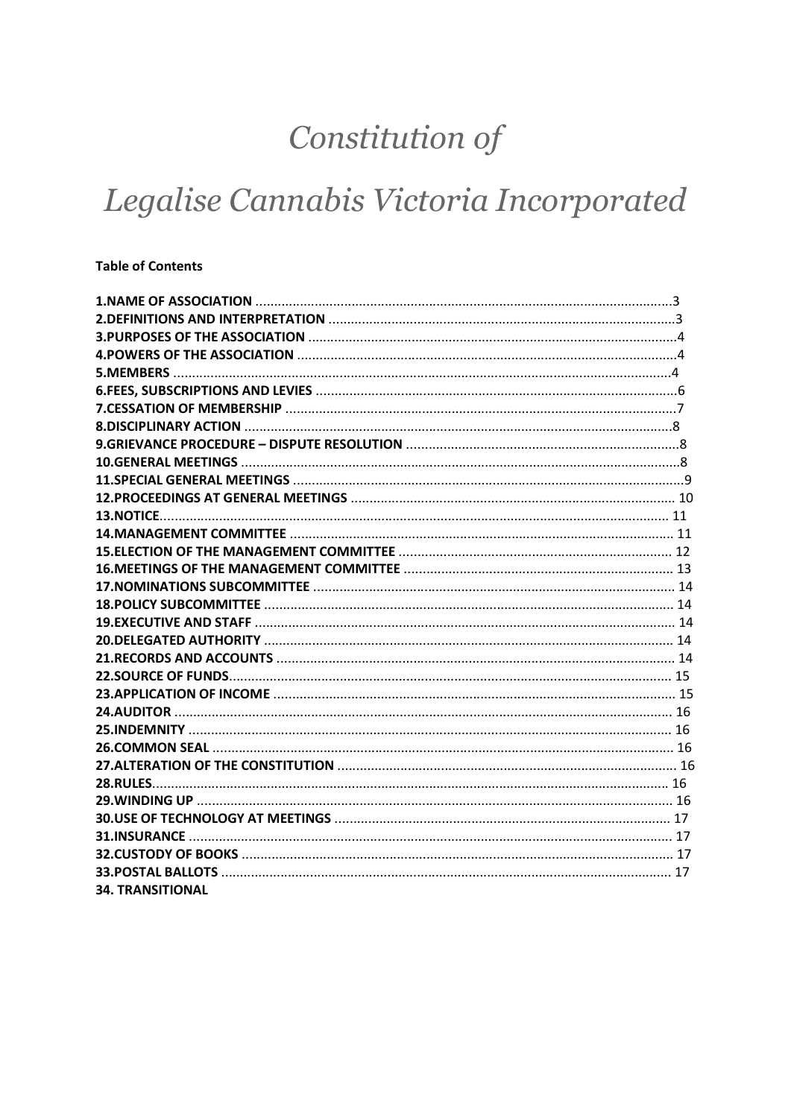# Constitution of

# Legalise Cannabis Victoria Incorporated

#### **Table of Contents**

| <b>34. TRANSITIONAL</b> |  |
|-------------------------|--|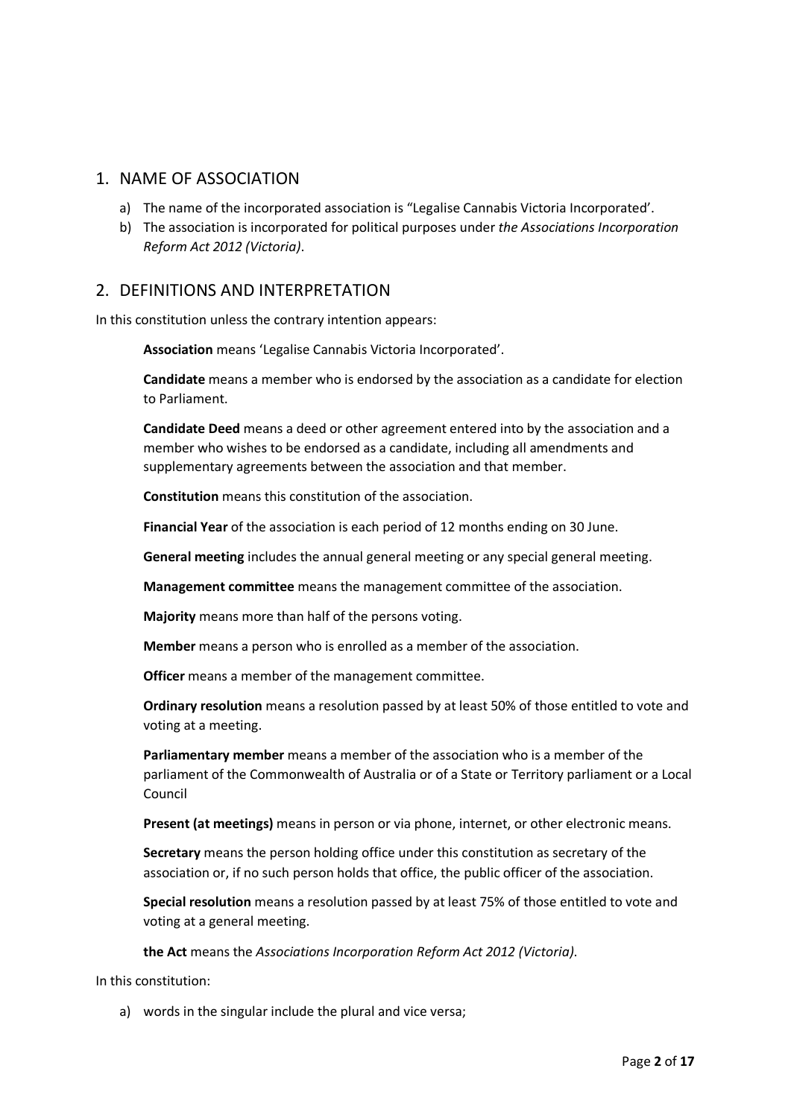## 1. NAME OF ASSOCIATION

- a) The name of the incorporated association is "Legalise Cannabis Victoria Incorporated'.
- b) The association is incorporated for political purposes under *the Associations Incorporation Reform Act 2012 (Victoria)*.

#### 2. DEFINITIONS AND INTERPRETATION

In this constitution unless the contrary intention appears:

**Association** means 'Legalise Cannabis Victoria Incorporated'.

**Candidate** means a member who is endorsed by the association as a candidate for election to Parliament.

**Candidate Deed** means a deed or other agreement entered into by the association and a member who wishes to be endorsed as a candidate, including all amendments and supplementary agreements between the association and that member.

**Constitution** means this constitution of the association.

**Financial Year** of the association is each period of 12 months ending on 30 June.

**General meeting** includes the annual general meeting or any special general meeting.

**Management committee** means the management committee of the association.

**Majority** means more than half of the persons voting.

**Member** means a person who is enrolled as a member of the association.

**Officer** means a member of the management committee.

**Ordinary resolution** means a resolution passed by at least 50% of those entitled to vote and voting at a meeting.

**Parliamentary member** means a member of the association who is a member of the parliament of the Commonwealth of Australia or of a State or Territory parliament or a Local Council

**Present (at meetings)** means in person or via phone, internet, or other electronic means.

**Secretary** means the person holding office under this constitution as secretary of the association or, if no such person holds that office, the public officer of the association.

**Special resolution** means a resolution passed by at least 75% of those entitled to vote and voting at a general meeting.

**the Act** means the *Associations Incorporation Reform Act 2012 (Victoria)*.

In this constitution:

a) words in the singular include the plural and vice versa;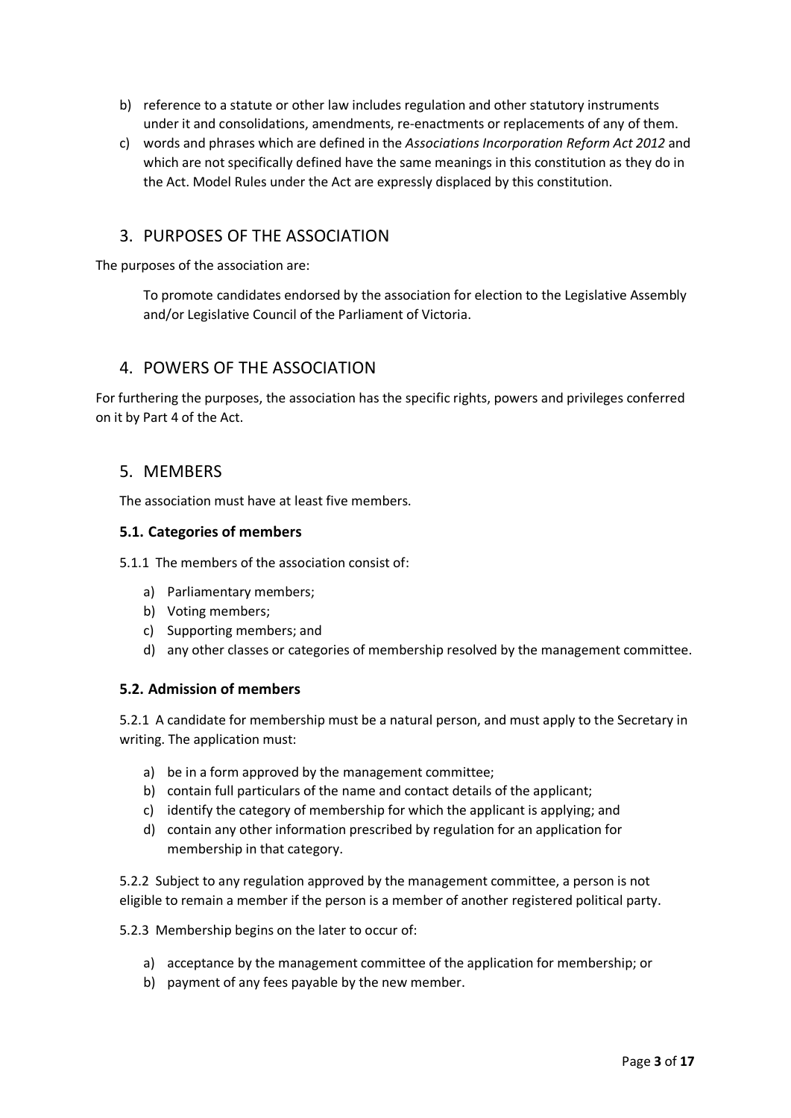- b) reference to a statute or other law includes regulation and other statutory instruments under it and consolidations, amendments, re-enactments or replacements of any of them.
- c) words and phrases which are defined in the *Associations Incorporation Reform Act 2012* and which are not specifically defined have the same meanings in this constitution as they do in the Act. Model Rules under the Act are expressly displaced by this constitution.

## 3. PURPOSES OF THE ASSOCIATION

The purposes of the association are:

To promote candidates endorsed by the association for election to the Legislative Assembly and/or Legislative Council of the Parliament of Victoria.

#### 4. POWERS OF THE ASSOCIATION

For furthering the purposes, the association has the specific rights, powers and privileges conferred on it by Part 4 of the Act.

## 5. MEMBERS

The association must have at least five members.

#### **5.1. Categories of members**

5.1.1 The members of the association consist of:

- a) Parliamentary members;
- b) Voting members;
- c) Supporting members; and
- d) any other classes or categories of membership resolved by the management committee.

#### **5.2. Admission of members**

5.2.1 A candidate for membership must be a natural person, and must apply to the Secretary in writing. The application must:

- a) be in a form approved by the management committee;
- b) contain full particulars of the name and contact details of the applicant;
- c) identify the category of membership for which the applicant is applying; and
- d) contain any other information prescribed by regulation for an application for membership in that category.

5.2.2 Subject to any regulation approved by the management committee, a person is not eligible to remain a member if the person is a member of another registered political party.

5.2.3 Membership begins on the later to occur of:

- a) acceptance by the management committee of the application for membership; or
- b) payment of any fees payable by the new member.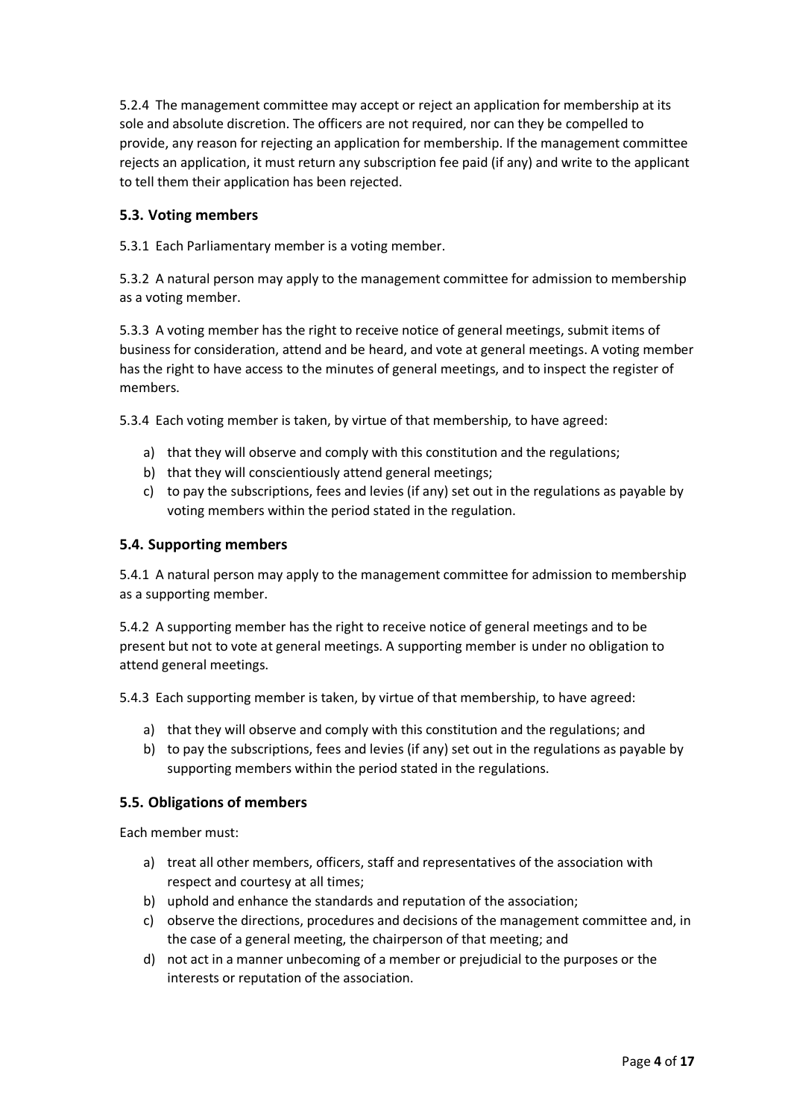5.2.4 The management committee may accept or reject an application for membership at its sole and absolute discretion. The officers are not required, nor can they be compelled to provide, any reason for rejecting an application for membership. If the management committee rejects an application, it must return any subscription fee paid (if any) and write to the applicant to tell them their application has been rejected.

#### **5.3. Voting members**

5.3.1 Each Parliamentary member is a voting member.

5.3.2 A natural person may apply to the management committee for admission to membership as a voting member.

5.3.3 A voting member has the right to receive notice of general meetings, submit items of business for consideration, attend and be heard, and vote at general meetings. A voting member has the right to have access to the minutes of general meetings, and to inspect the register of members.

5.3.4 Each voting member is taken, by virtue of that membership, to have agreed:

- a) that they will observe and comply with this constitution and the regulations;
- b) that they will conscientiously attend general meetings;
- c) to pay the subscriptions, fees and levies (if any) set out in the regulations as payable by voting members within the period stated in the regulation.

#### **5.4. Supporting members**

5.4.1 A natural person may apply to the management committee for admission to membership as a supporting member.

5.4.2 A supporting member has the right to receive notice of general meetings and to be present but not to vote at general meetings. A supporting member is under no obligation to attend general meetings.

5.4.3 Each supporting member is taken, by virtue of that membership, to have agreed:

- a) that they will observe and comply with this constitution and the regulations; and
- b) to pay the subscriptions, fees and levies (if any) set out in the regulations as payable by supporting members within the period stated in the regulations.

#### **5.5. Obligations of members**

Each member must:

- a) treat all other members, officers, staff and representatives of the association with respect and courtesy at all times;
- b) uphold and enhance the standards and reputation of the association;
- c) observe the directions, procedures and decisions of the management committee and, in the case of a general meeting, the chairperson of that meeting; and
- d) not act in a manner unbecoming of a member or prejudicial to the purposes or the interests or reputation of the association.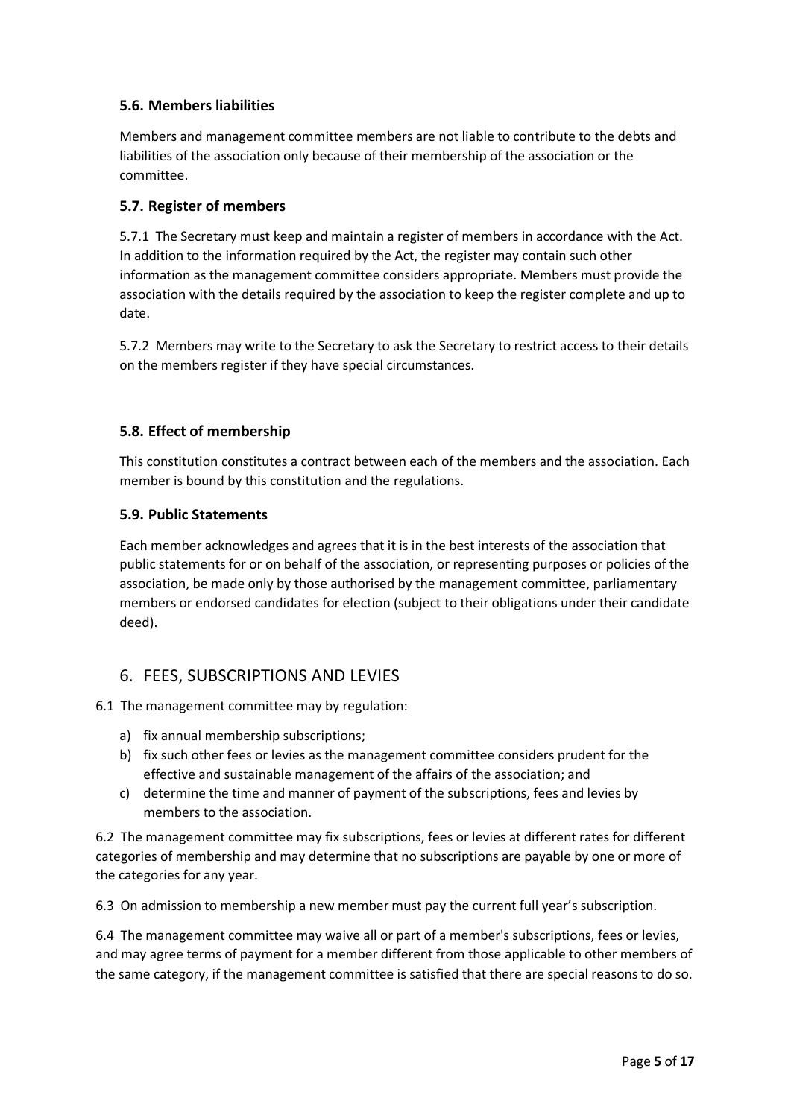### **5.6. Members liabilities**

Members and management committee members are not liable to contribute to the debts and liabilities of the association only because of their membership of the association or the committee.

#### **5.7. Register of members**

5.7.1 The Secretary must keep and maintain a register of members in accordance with the Act. In addition to the information required by the Act, the register may contain such other information as the management committee considers appropriate. Members must provide the association with the details required by the association to keep the register complete and up to date.

5.7.2 Members may write to the Secretary to ask the Secretary to restrict access to their details on the members register if they have special circumstances.

#### **5.8. Effect of membership**

This constitution constitutes a contract between each of the members and the association. Each member is bound by this constitution and the regulations.

#### **5.9. Public Statements**

Each member acknowledges and agrees that it is in the best interests of the association that public statements for or on behalf of the association, or representing purposes or policies of the association, be made only by those authorised by the management committee, parliamentary members or endorsed candidates for election (subject to their obligations under their candidate deed).

## 6. FEES, SUBSCRIPTIONS AND LEVIES

#### 6.1 The management committee may by regulation:

- a) fix annual membership subscriptions;
- b) fix such other fees or levies as the management committee considers prudent for the effective and sustainable management of the affairs of the association; and
- c) determine the time and manner of payment of the subscriptions, fees and levies by members to the association.

6.2 The management committee may fix subscriptions, fees or levies at different rates for different categories of membership and may determine that no subscriptions are payable by one or more of the categories for any year.

6.3 On admission to membership a new member must pay the current full year's subscription.

6.4 The management committee may waive all or part of a member's subscriptions, fees or levies, and may agree terms of payment for a member different from those applicable to other members of the same category, if the management committee is satisfied that there are special reasons to do so.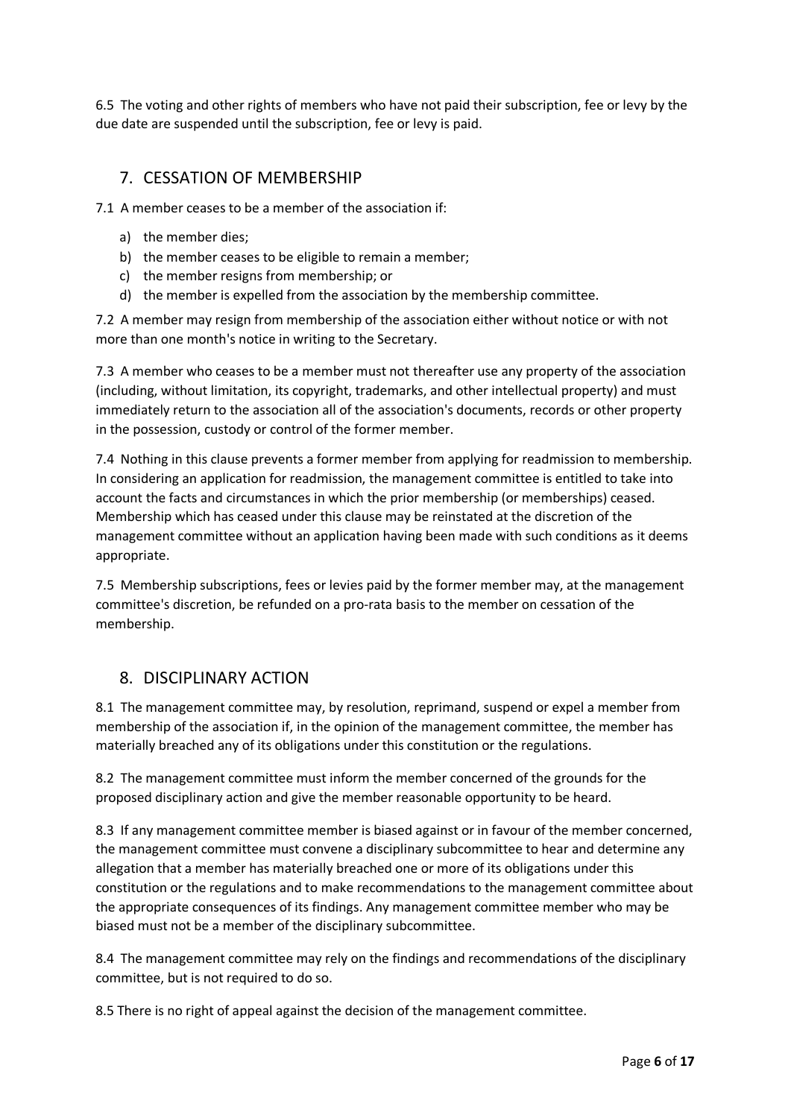6.5 The voting and other rights of members who have not paid their subscription, fee or levy by the due date are suspended until the subscription, fee or levy is paid.

## 7. CESSATION OF MEMBERSHIP

7.1 A member ceases to be a member of the association if:

- a) the member dies;
- b) the member ceases to be eligible to remain a member;
- c) the member resigns from membership; or
- d) the member is expelled from the association by the membership committee.

7.2 A member may resign from membership of the association either without notice or with not more than one month's notice in writing to the Secretary.

7.3 A member who ceases to be a member must not thereafter use any property of the association (including, without limitation, its copyright, trademarks, and other intellectual property) and must immediately return to the association all of the association's documents, records or other property in the possession, custody or control of the former member.

7.4 Nothing in this clause prevents a former member from applying for readmission to membership. In considering an application for readmission, the management committee is entitled to take into account the facts and circumstances in which the prior membership (or memberships) ceased. Membership which has ceased under this clause may be reinstated at the discretion of the management committee without an application having been made with such conditions as it deems appropriate.

7.5 Membership subscriptions, fees or levies paid by the former member may, at the management committee's discretion, be refunded on a pro-rata basis to the member on cessation of the membership.

## 8. DISCIPLINARY ACTION

8.1 The management committee may, by resolution, reprimand, suspend or expel a member from membership of the association if, in the opinion of the management committee, the member has materially breached any of its obligations under this constitution or the regulations.

8.2 The management committee must inform the member concerned of the grounds for the proposed disciplinary action and give the member reasonable opportunity to be heard.

8.3 If any management committee member is biased against or in favour of the member concerned, the management committee must convene a disciplinary subcommittee to hear and determine any allegation that a member has materially breached one or more of its obligations under this constitution or the regulations and to make recommendations to the management committee about the appropriate consequences of its findings. Any management committee member who may be biased must not be a member of the disciplinary subcommittee.

8.4 The management committee may rely on the findings and recommendations of the disciplinary committee, but is not required to do so.

8.5 There is no right of appeal against the decision of the management committee.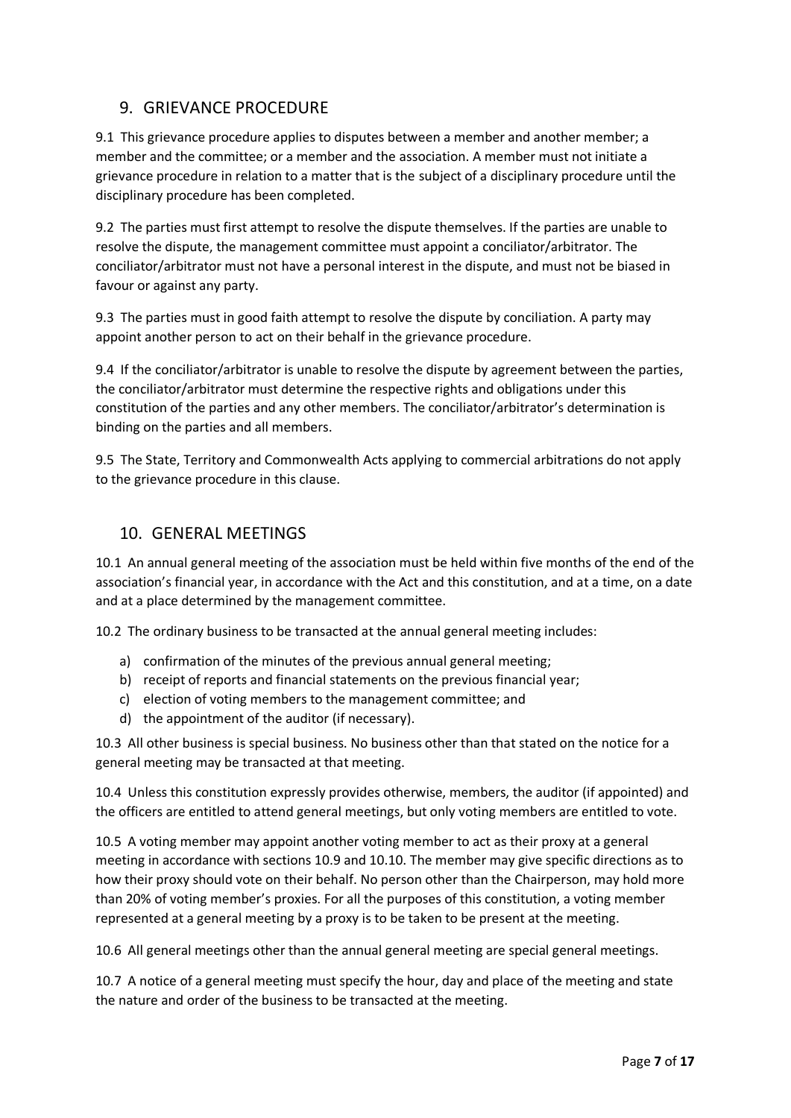## 9. GRIEVANCE PROCEDURE

9.1 This grievance procedure applies to disputes between a member and another member; a member and the committee; or a member and the association. A member must not initiate a grievance procedure in relation to a matter that is the subject of a disciplinary procedure until the disciplinary procedure has been completed.

9.2 The parties must first attempt to resolve the dispute themselves. If the parties are unable to resolve the dispute, the management committee must appoint a conciliator/arbitrator. The conciliator/arbitrator must not have a personal interest in the dispute, and must not be biased in favour or against any party.

9.3 The parties must in good faith attempt to resolve the dispute by conciliation. A party may appoint another person to act on their behalf in the grievance procedure.

9.4 If the conciliator/arbitrator is unable to resolve the dispute by agreement between the parties, the conciliator/arbitrator must determine the respective rights and obligations under this constitution of the parties and any other members. The conciliator/arbitrator's determination is binding on the parties and all members.

9.5 The State, Territory and Commonwealth Acts applying to commercial arbitrations do not apply to the grievance procedure in this clause.

## 10. GENERAL MEETINGS

10.1 An annual general meeting of the association must be held within five months of the end of the association's financial year, in accordance with the Act and this constitution, and at a time, on a date and at a place determined by the management committee.

10.2 The ordinary business to be transacted at the annual general meeting includes:

- a) confirmation of the minutes of the previous annual general meeting;
- b) receipt of reports and financial statements on the previous financial year;
- c) election of voting members to the management committee; and
- d) the appointment of the auditor (if necessary).

10.3 All other business is special business. No business other than that stated on the notice for a general meeting may be transacted at that meeting.

10.4 Unless this constitution expressly provides otherwise, members, the auditor (if appointed) and the officers are entitled to attend general meetings, but only voting members are entitled to vote.

10.5 A voting member may appoint another voting member to act as their proxy at a general meeting in accordance with sections 10.9 and 10.10. The member may give specific directions as to how their proxy should vote on their behalf. No person other than the Chairperson, may hold more than 20% of voting member's proxies. For all the purposes of this constitution, a voting member represented at a general meeting by a proxy is to be taken to be present at the meeting.

10.6 All general meetings other than the annual general meeting are special general meetings.

10.7 A notice of a general meeting must specify the hour, day and place of the meeting and state the nature and order of the business to be transacted at the meeting.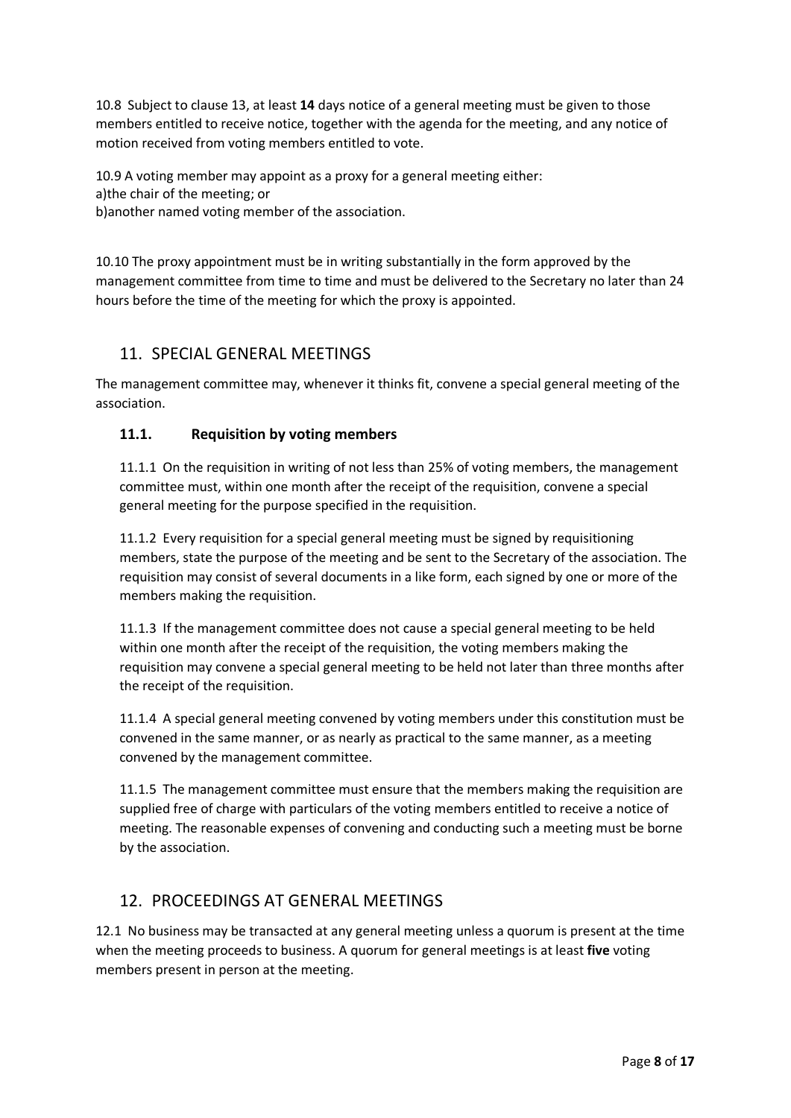10.8 Subject to clause 13, at least **14** days notice of a general meeting must be given to those members entitled to receive notice, together with the agenda for the meeting, and any notice of motion received from voting members entitled to vote.

10.9 A voting member may appoint as a proxy for a general meeting either: a)the chair of the meeting; or b)another named voting member of the association.

10.10 The proxy appointment must be in writing substantially in the form approved by the management committee from time to time and must be delivered to the Secretary no later than 24 hours before the time of the meeting for which the proxy is appointed.

# 11. SPECIAL GENERAL MEETINGS

The management committee may, whenever it thinks fit, convene a special general meeting of the association.

#### **11.1. Requisition by voting members**

11.1.1 On the requisition in writing of not less than 25% of voting members, the management committee must, within one month after the receipt of the requisition, convene a special general meeting for the purpose specified in the requisition.

11.1.2 Every requisition for a special general meeting must be signed by requisitioning members, state the purpose of the meeting and be sent to the Secretary of the association. The requisition may consist of several documents in a like form, each signed by one or more of the members making the requisition.

11.1.3 If the management committee does not cause a special general meeting to be held within one month after the receipt of the requisition, the voting members making the requisition may convene a special general meeting to be held not later than three months after the receipt of the requisition.

11.1.4 A special general meeting convened by voting members under this constitution must be convened in the same manner, or as nearly as practical to the same manner, as a meeting convened by the management committee.

11.1.5 The management committee must ensure that the members making the requisition are supplied free of charge with particulars of the voting members entitled to receive a notice of meeting. The reasonable expenses of convening and conducting such a meeting must be borne by the association.

# 12. PROCEEDINGS AT GENERAL MEETINGS

12.1 No business may be transacted at any general meeting unless a quorum is present at the time when the meeting proceeds to business. A quorum for general meetings is at least **five** voting members present in person at the meeting.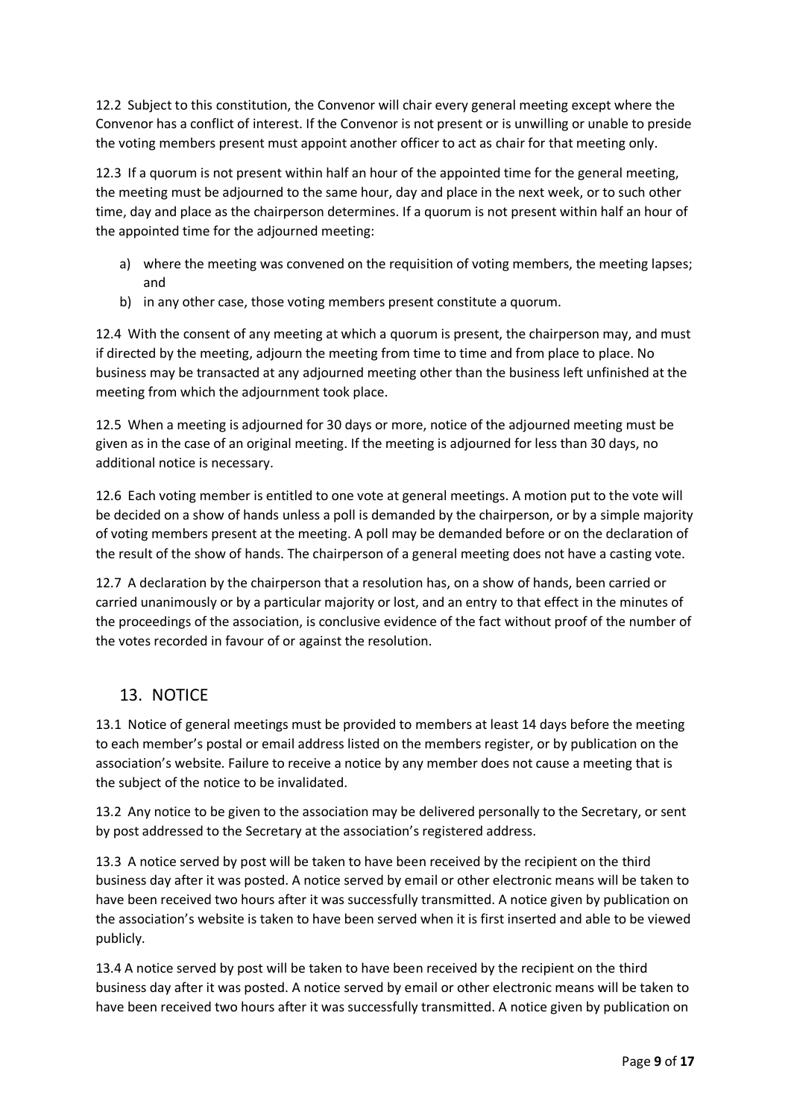12.2 Subject to this constitution, the Convenor will chair every general meeting except where the Convenor has a conflict of interest. If the Convenor is not present or is unwilling or unable to preside the voting members present must appoint another officer to act as chair for that meeting only.

12.3 If a quorum is not present within half an hour of the appointed time for the general meeting, the meeting must be adjourned to the same hour, day and place in the next week, or to such other time, day and place as the chairperson determines. If a quorum is not present within half an hour of the appointed time for the adjourned meeting:

- a) where the meeting was convened on the requisition of voting members, the meeting lapses; and
- b) in any other case, those voting members present constitute a quorum.

12.4 With the consent of any meeting at which a quorum is present, the chairperson may, and must if directed by the meeting, adjourn the meeting from time to time and from place to place. No business may be transacted at any adjourned meeting other than the business left unfinished at the meeting from which the adjournment took place.

12.5 When a meeting is adjourned for 30 days or more, notice of the adjourned meeting must be given as in the case of an original meeting. If the meeting is adjourned for less than 30 days, no additional notice is necessary.

12.6 Each voting member is entitled to one vote at general meetings. A motion put to the vote will be decided on a show of hands unless a poll is demanded by the chairperson, or by a simple majority of voting members present at the meeting. A poll may be demanded before or on the declaration of the result of the show of hands. The chairperson of a general meeting does not have a casting vote.

12.7 A declaration by the chairperson that a resolution has, on a show of hands, been carried or carried unanimously or by a particular majority or lost, and an entry to that effect in the minutes of the proceedings of the association, is conclusive evidence of the fact without proof of the number of the votes recorded in favour of or against the resolution.

# 13. NOTICE

13.1 Notice of general meetings must be provided to members at least 14 days before the meeting to each member's postal or email address listed on the members register, or by publication on the association's website. Failure to receive a notice by any member does not cause a meeting that is the subject of the notice to be invalidated.

13.2 Any notice to be given to the association may be delivered personally to the Secretary, or sent by post addressed to the Secretary at the association's registered address.

13.3 A notice served by post will be taken to have been received by the recipient on the third business day after it was posted. A notice served by email or other electronic means will be taken to have been received two hours after it was successfully transmitted. A notice given by publication on the association's website is taken to have been served when it is first inserted and able to be viewed publicly.

13.4 A notice served by post will be taken to have been received by the recipient on the third business day after it was posted. A notice served by email or other electronic means will be taken to have been received two hours after it was successfully transmitted. A notice given by publication on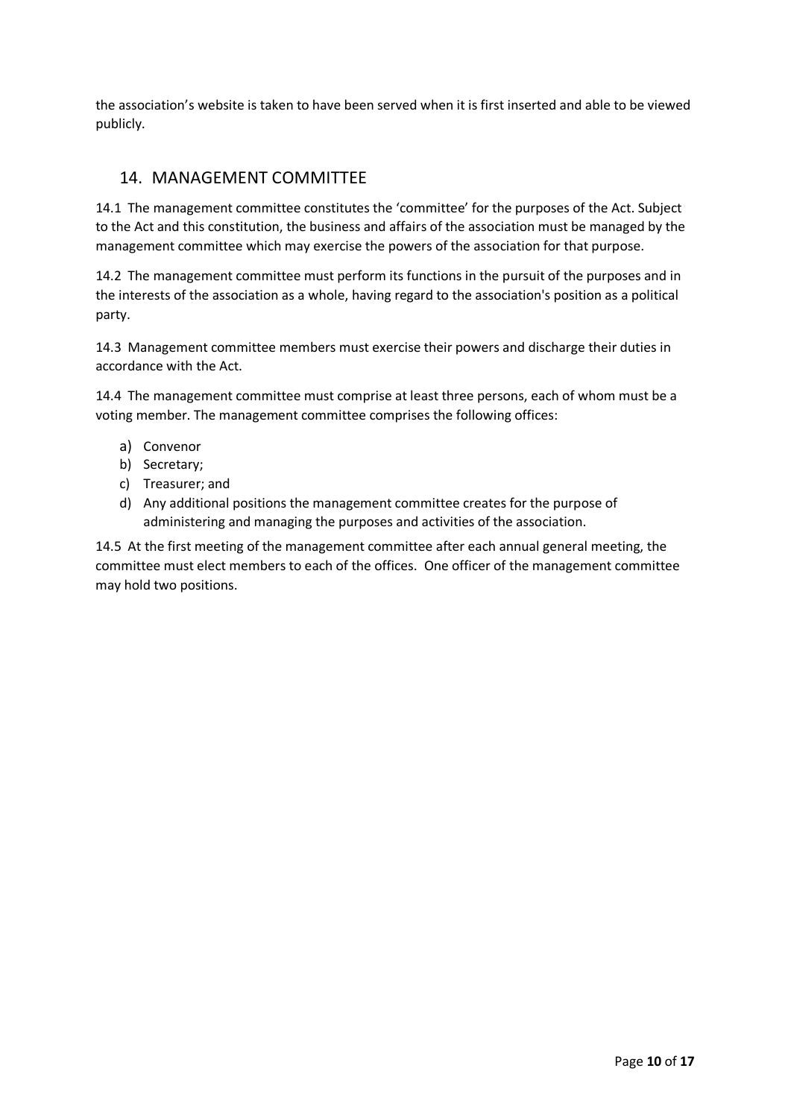the association's website is taken to have been served when it is first inserted and able to be viewed publicly.

# 14. MANAGEMENT COMMITTEE

14.1 The management committee constitutes the 'committee' for the purposes of the Act. Subject to the Act and this constitution, the business and affairs of the association must be managed by the management committee which may exercise the powers of the association for that purpose.

14.2 The management committee must perform its functions in the pursuit of the purposes and in the interests of the association as a whole, having regard to the association's position as a political party.

14.3 Management committee members must exercise their powers and discharge their duties in accordance with the Act.

14.4 The management committee must comprise at least three persons, each of whom must be a voting member. The management committee comprises the following offices:

- a) Convenor
- b) Secretary;
- c) Treasurer; and
- d) Any additional positions the management committee creates for the purpose of administering and managing the purposes and activities of the association.

14.5 At the first meeting of the management committee after each annual general meeting, the committee must elect members to each of the offices. One officer of the management committee may hold two positions.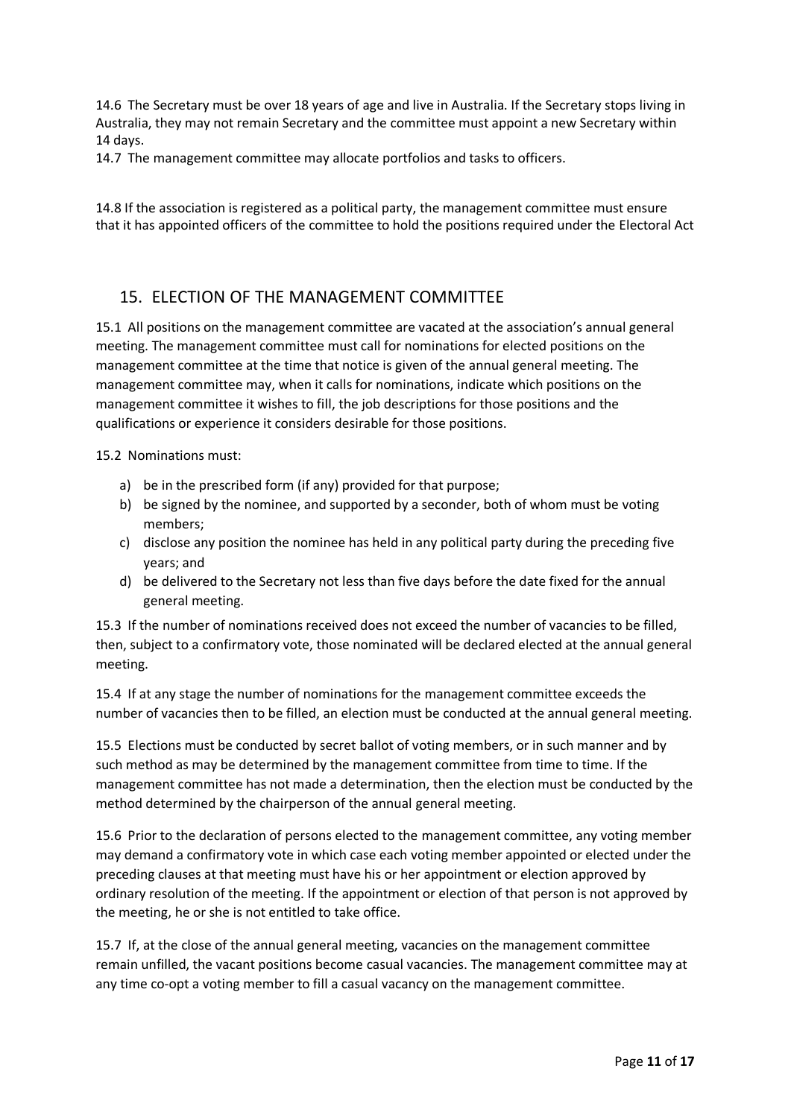14.6 The Secretary must be over 18 years of age and live in Australia. If the Secretary stops living in Australia, they may not remain Secretary and the committee must appoint a new Secretary within 14 days.

14.7 The management committee may allocate portfolios and tasks to officers.

14.8 If the association is registered as a political party, the management committee must ensure that it has appointed officers of the committee to hold the positions required under the Electoral Act

## 15. ELECTION OF THE MANAGEMENT COMMITTEE

15.1 All positions on the management committee are vacated at the association's annual general meeting. The management committee must call for nominations for elected positions on the management committee at the time that notice is given of the annual general meeting. The management committee may, when it calls for nominations, indicate which positions on the management committee it wishes to fill, the job descriptions for those positions and the qualifications or experience it considers desirable for those positions.

15.2 Nominations must:

- a) be in the prescribed form (if any) provided for that purpose;
- b) be signed by the nominee, and supported by a seconder, both of whom must be voting members;
- c) disclose any position the nominee has held in any political party during the preceding five years; and
- d) be delivered to the Secretary not less than five days before the date fixed for the annual general meeting.

15.3 If the number of nominations received does not exceed the number of vacancies to be filled, then, subject to a confirmatory vote, those nominated will be declared elected at the annual general meeting.

15.4 If at any stage the number of nominations for the management committee exceeds the number of vacancies then to be filled, an election must be conducted at the annual general meeting.

15.5 Elections must be conducted by secret ballot of voting members, or in such manner and by such method as may be determined by the management committee from time to time. If the management committee has not made a determination, then the election must be conducted by the method determined by the chairperson of the annual general meeting.

15.6 Prior to the declaration of persons elected to the management committee, any voting member may demand a confirmatory vote in which case each voting member appointed or elected under the preceding clauses at that meeting must have his or her appointment or election approved by ordinary resolution of the meeting. If the appointment or election of that person is not approved by the meeting, he or she is not entitled to take office.

15.7 If, at the close of the annual general meeting, vacancies on the management committee remain unfilled, the vacant positions become casual vacancies. The management committee may at any time co-opt a voting member to fill a casual vacancy on the management committee.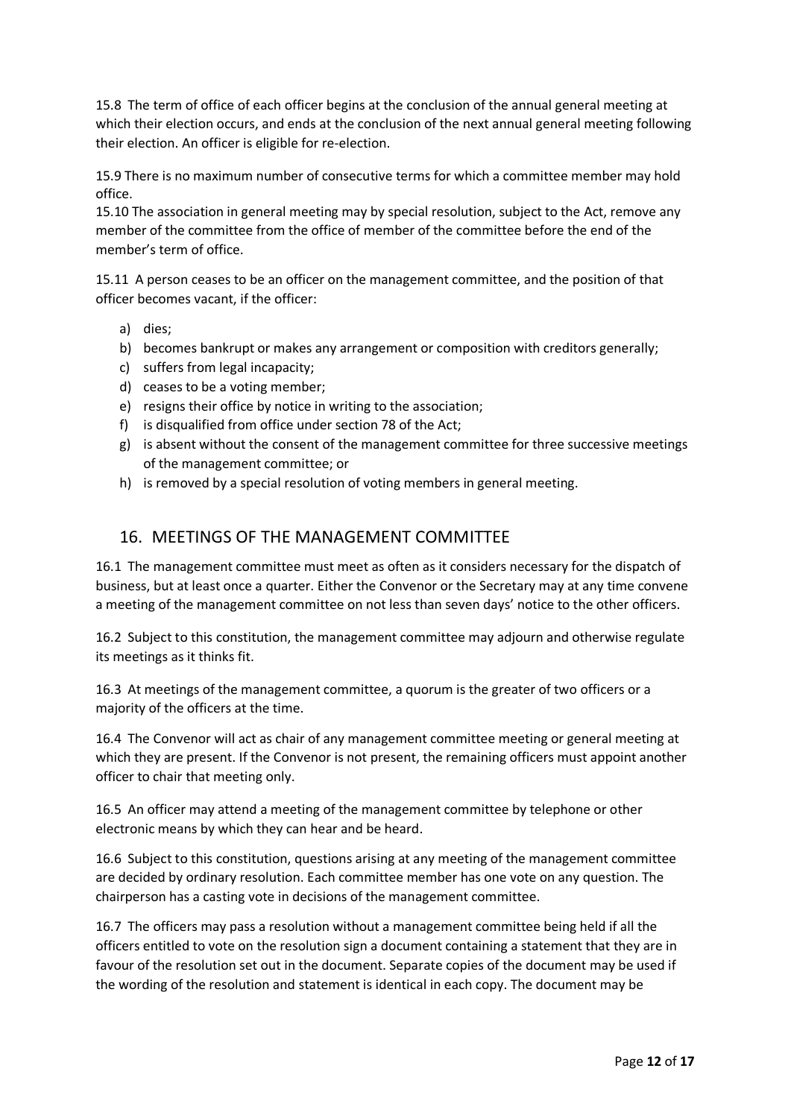15.8 The term of office of each officer begins at the conclusion of the annual general meeting at which their election occurs, and ends at the conclusion of the next annual general meeting following their election. An officer is eligible for re-election.

15.9 There is no maximum number of consecutive terms for which a committee member may hold office.

15.10 The association in general meeting may by special resolution, subject to the Act, remove any member of the committee from the office of member of the committee before the end of the member's term of office.

15.11 A person ceases to be an officer on the management committee, and the position of that officer becomes vacant, if the officer:

- a) dies;
- b) becomes bankrupt or makes any arrangement or composition with creditors generally;
- c) suffers from legal incapacity;
- d) ceases to be a voting member;
- e) resigns their office by notice in writing to the association;
- f) is disqualified from office under section 78 of the Act;
- g) is absent without the consent of the management committee for three successive meetings of the management committee; or
- h) is removed by a special resolution of voting members in general meeting.

## 16. MEETINGS OF THE MANAGEMENT COMMITTEE

16.1 The management committee must meet as often as it considers necessary for the dispatch of business, but at least once a quarter. Either the Convenor or the Secretary may at any time convene a meeting of the management committee on not less than seven days' notice to the other officers.

16.2 Subject to this constitution, the management committee may adjourn and otherwise regulate its meetings as it thinks fit.

16.3 At meetings of the management committee, a quorum is the greater of two officers or a majority of the officers at the time.

16.4 The Convenor will act as chair of any management committee meeting or general meeting at which they are present. If the Convenor is not present, the remaining officers must appoint another officer to chair that meeting only.

16.5 An officer may attend a meeting of the management committee by telephone or other electronic means by which they can hear and be heard.

16.6 Subject to this constitution, questions arising at any meeting of the management committee are decided by ordinary resolution. Each committee member has one vote on any question. The chairperson has a casting vote in decisions of the management committee.

16.7 The officers may pass a resolution without a management committee being held if all the officers entitled to vote on the resolution sign a document containing a statement that they are in favour of the resolution set out in the document. Separate copies of the document may be used if the wording of the resolution and statement is identical in each copy. The document may be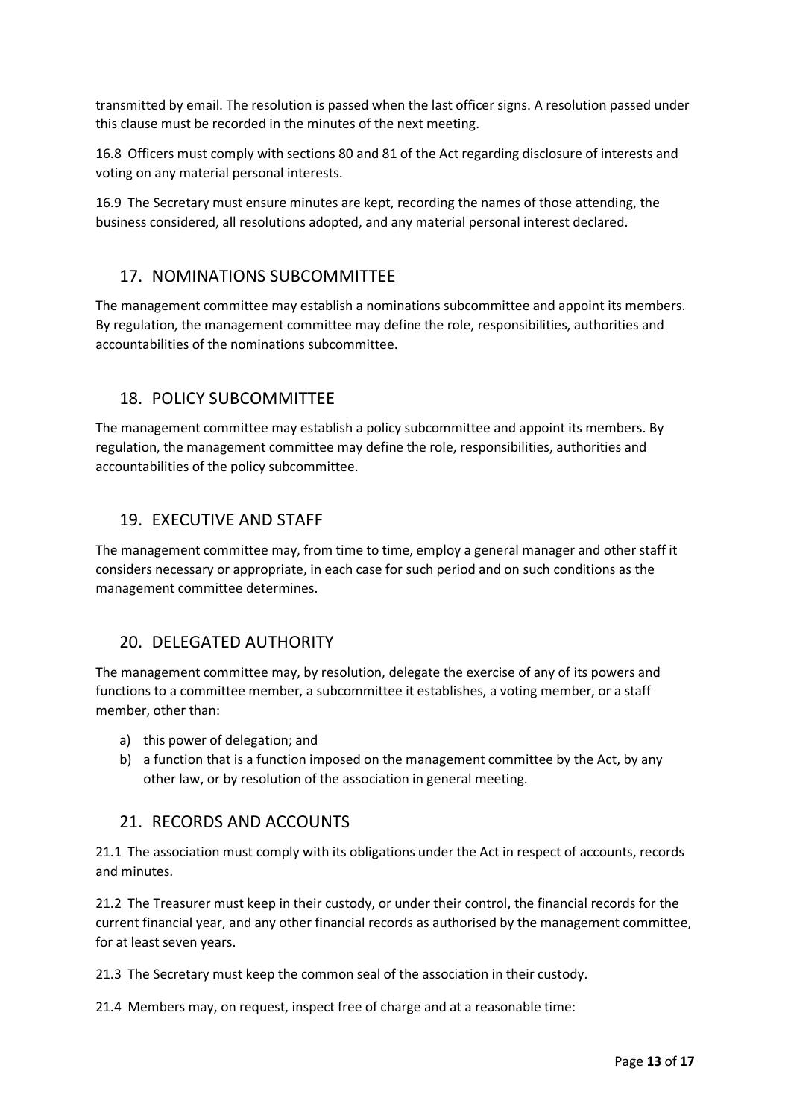transmitted by email. The resolution is passed when the last officer signs. A resolution passed under this clause must be recorded in the minutes of the next meeting.

16.8 Officers must comply with sections 80 and 81 of the Act regarding disclosure of interests and voting on any material personal interests.

16.9 The Secretary must ensure minutes are kept, recording the names of those attending, the business considered, all resolutions adopted, and any material personal interest declared.

# 17. NOMINATIONS SUBCOMMITTEE

The management committee may establish a nominations subcommittee and appoint its members. By regulation, the management committee may define the role, responsibilities, authorities and accountabilities of the nominations subcommittee.

# 18. POLICY SUBCOMMITTEE

The management committee may establish a policy subcommittee and appoint its members. By regulation, the management committee may define the role, responsibilities, authorities and accountabilities of the policy subcommittee.

# 19. EXECUTIVE AND STAFF

The management committee may, from time to time, employ a general manager and other staff it considers necessary or appropriate, in each case for such period and on such conditions as the management committee determines.

# 20. DELEGATED AUTHORITY

The management committee may, by resolution, delegate the exercise of any of its powers and functions to a committee member, a subcommittee it establishes, a voting member, or a staff member, other than:

- a) this power of delegation; and
- b) a function that is a function imposed on the management committee by the Act, by any other law, or by resolution of the association in general meeting.

## 21. RECORDS AND ACCOUNTS

21.1 The association must comply with its obligations under the Act in respect of accounts, records and minutes.

21.2 The Treasurer must keep in their custody, or under their control, the financial records for the current financial year, and any other financial records as authorised by the management committee, for at least seven years.

21.3 The Secretary must keep the common seal of the association in their custody.

21.4 Members may, on request, inspect free of charge and at a reasonable time: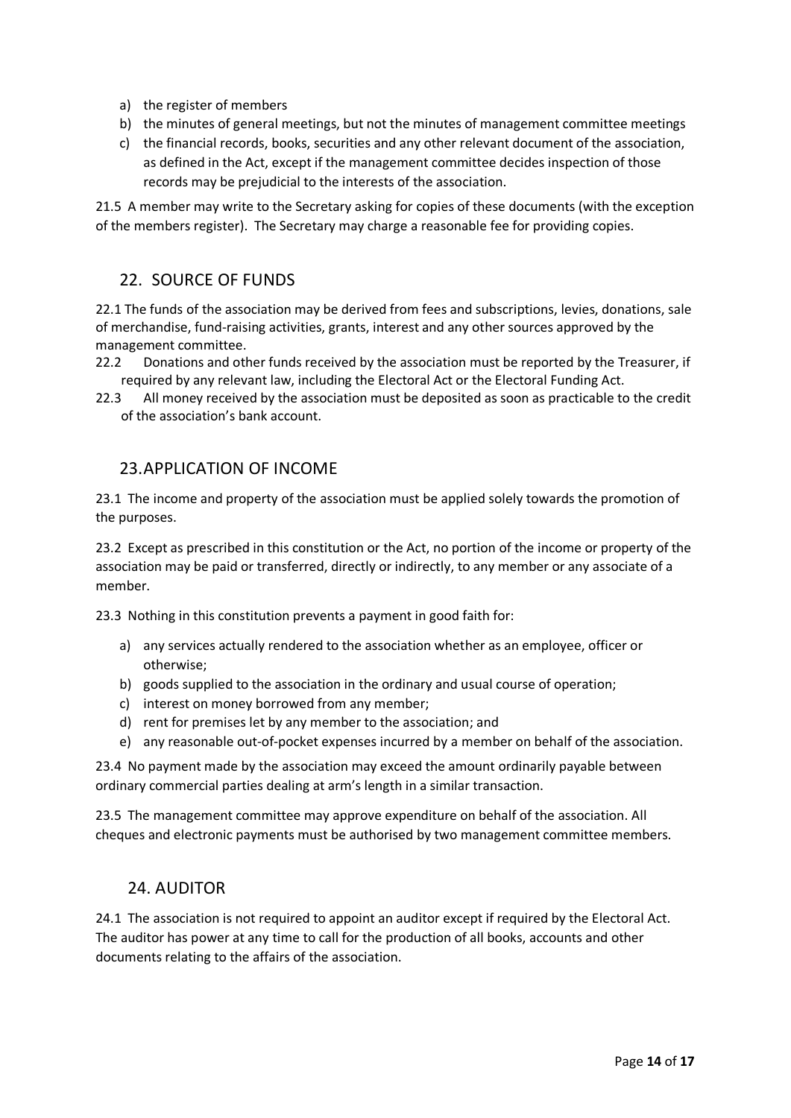- a) the register of members
- b) the minutes of general meetings, but not the minutes of management committee meetings
- c) the financial records, books, securities and any other relevant document of the association, as defined in the Act, except if the management committee decides inspection of those records may be prejudicial to the interests of the association.

21.5 A member may write to the Secretary asking for copies of these documents (with the exception of the members register). The Secretary may charge a reasonable fee for providing copies.

## 22. SOURCE OF FUNDS

22.1 The funds of the association may be derived from fees and subscriptions, levies, donations, sale of merchandise, fund-raising activities, grants, interest and any other sources approved by the management committee.

- 22.2 Donations and other funds received by the association must be reported by the Treasurer, if required by any relevant law, including the Electoral Act or the Electoral Funding Act.
- 22.3 All money received by the association must be deposited as soon as practicable to the credit of the association's bank account.

#### 23.APPLICATION OF INCOME

23.1 The income and property of the association must be applied solely towards the promotion of the purposes.

23.2 Except as prescribed in this constitution or the Act, no portion of the income or property of the association may be paid or transferred, directly or indirectly, to any member or any associate of a member.

23.3 Nothing in this constitution prevents a payment in good faith for:

- a) any services actually rendered to the association whether as an employee, officer or otherwise;
- b) goods supplied to the association in the ordinary and usual course of operation;
- c) interest on money borrowed from any member;
- d) rent for premises let by any member to the association; and
- e) any reasonable out-of-pocket expenses incurred by a member on behalf of the association.

23.4 No payment made by the association may exceed the amount ordinarily payable between ordinary commercial parties dealing at arm's length in a similar transaction.

23.5 The management committee may approve expenditure on behalf of the association. All cheques and electronic payments must be authorised by two management committee members.

## 24. AUDITOR

24.1 The association is not required to appoint an auditor except if required by the Electoral Act. The auditor has power at any time to call for the production of all books, accounts and other documents relating to the affairs of the association.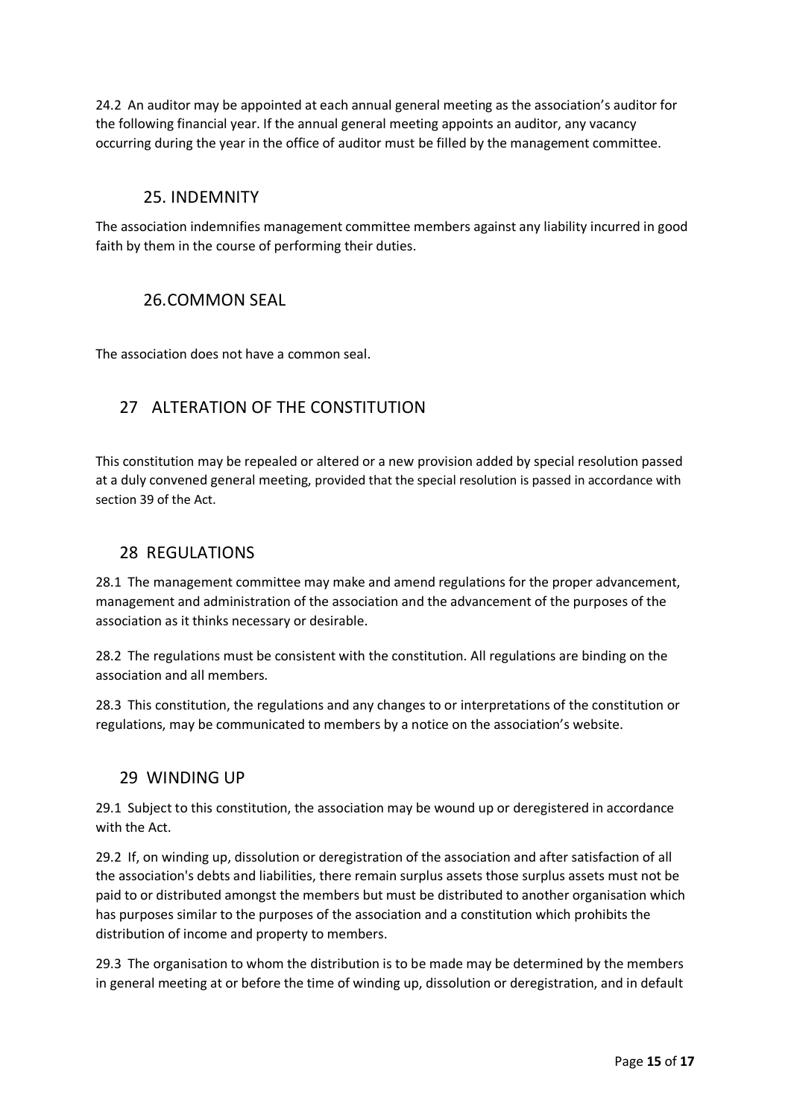24.2 An auditor may be appointed at each annual general meeting as the association's auditor for the following financial year. If the annual general meeting appoints an auditor, any vacancy occurring during the year in the office of auditor must be filled by the management committee.

## 25. INDEMNITY

The association indemnifies management committee members against any liability incurred in good faith by them in the course of performing their duties.

## 26.COMMON SEAL

The association does not have a common seal.

# 27 ALTERATION OF THE CONSTITUTION

This constitution may be repealed or altered or a new provision added by special resolution passed at a duly convened general meeting, provided that the special resolution is passed in accordance with section 39 of the Act.

## 28 REGULATIONS

28.1 The management committee may make and amend regulations for the proper advancement, management and administration of the association and the advancement of the purposes of the association as it thinks necessary or desirable.

28.2 The regulations must be consistent with the constitution. All regulations are binding on the association and all members.

28.3 This constitution, the regulations and any changes to or interpretations of the constitution or regulations, may be communicated to members by a notice on the association's website.

## 29 WINDING UP

29.1 Subject to this constitution, the association may be wound up or deregistered in accordance with the Act.

29.2 If, on winding up, dissolution or deregistration of the association and after satisfaction of all the association's debts and liabilities, there remain surplus assets those surplus assets must not be paid to or distributed amongst the members but must be distributed to another organisation which has purposes similar to the purposes of the association and a constitution which prohibits the distribution of income and property to members.

29.3 The organisation to whom the distribution is to be made may be determined by the members in general meeting at or before the time of winding up, dissolution or deregistration, and in default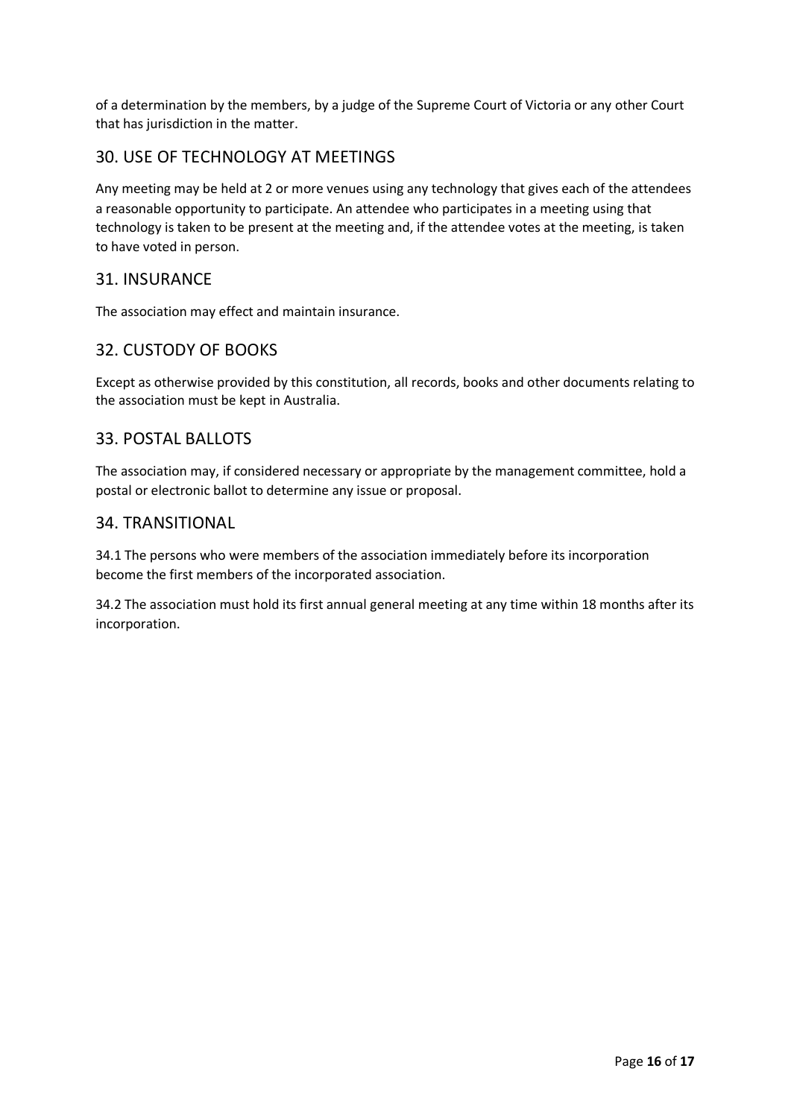of a determination by the members, by a judge of the Supreme Court of Victoria or any other Court that has jurisdiction in the matter.

# 30. USE OF TECHNOLOGY AT MEETINGS

Any meeting may be held at 2 or more venues using any technology that gives each of the attendees a reasonable opportunity to participate. An attendee who participates in a meeting using that technology is taken to be present at the meeting and, if the attendee votes at the meeting, is taken to have voted in person.

## 31. INSURANCE

The association may effect and maintain insurance.

## 32. CUSTODY OF BOOKS

Except as otherwise provided by this constitution, all records, books and other documents relating to the association must be kept in Australia.

## 33. POSTAL BALLOTS

The association may, if considered necessary or appropriate by the management committee, hold a postal or electronic ballot to determine any issue or proposal.

#### 34. TRANSITIONAL

34.1 The persons who were members of the association immediately before its incorporation become the first members of the incorporated association.

34.2 The association must hold its first annual general meeting at any time within 18 months after its incorporation.